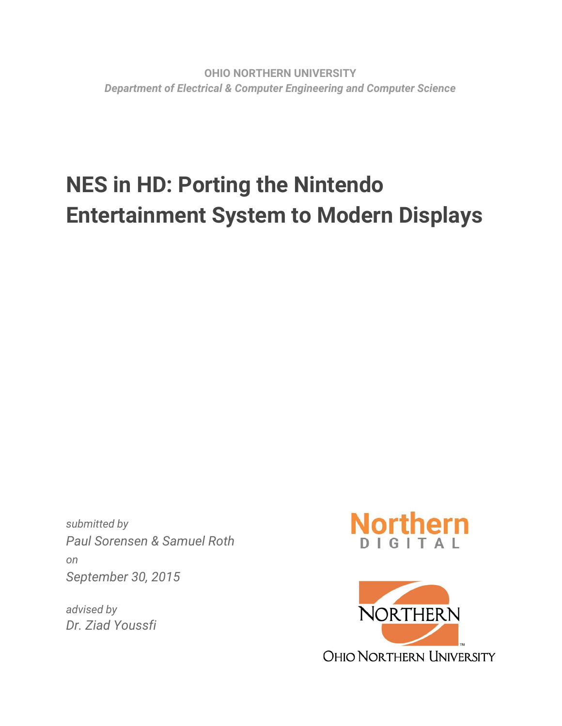# **NES in HD: Porting the Nintendo Entertainment System to Modern Displays**

*submitted by Paul Sorensen & Samuel Roth on September 30, 2015*

*advised by Dr. Ziad Youssfi*



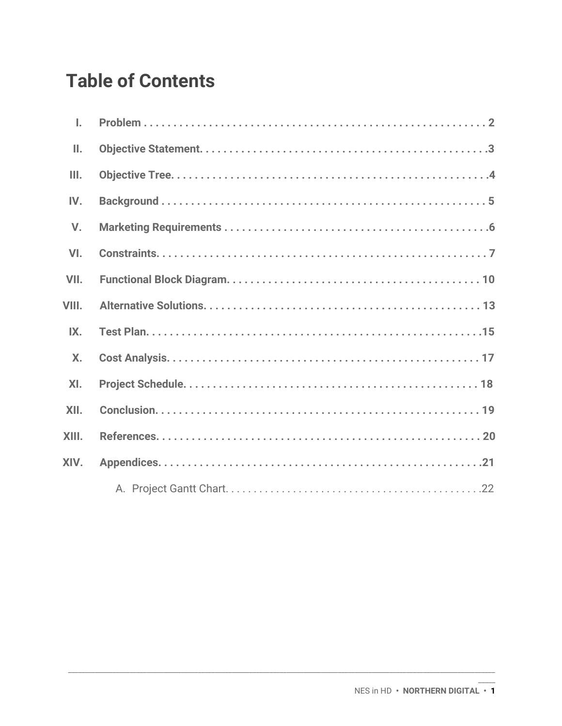## **Table of Contents**

| I.              |  |
|-----------------|--|
| $\mathbf{II}$ . |  |
| III.            |  |
| IV.             |  |
| $V_{\cdot}$     |  |
| VI.             |  |
| VII.            |  |
| VIII.           |  |
| IX.             |  |
| <b>X.</b>       |  |
| XI.             |  |
| XII.            |  |
| XIII.           |  |
| XIV.            |  |
|                 |  |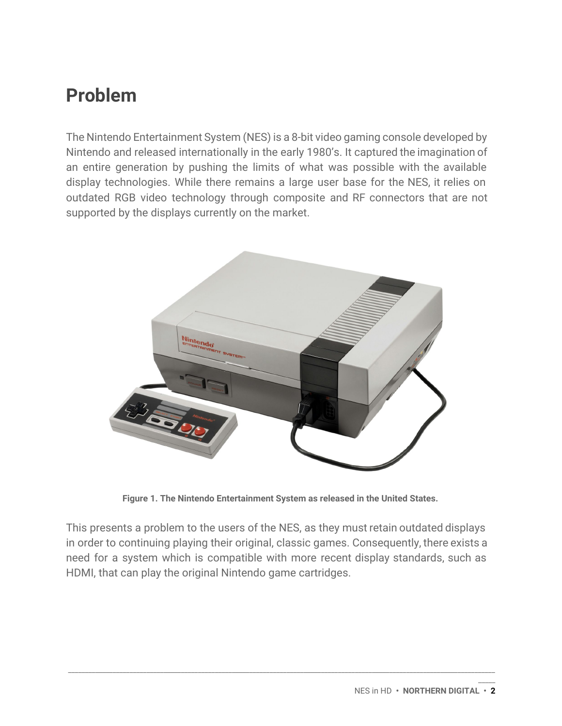## **Problem**

The Nintendo Entertainment System (NES) is a 8-bit video gaming console developed by Nintendo and released internationally in the early 1980's. It captured the imagination of an entire generation by pushing the limits of what was possible with the available display technologies. While there remains a large user base for the NES, it relies on outdated RGB video technology through composite and RF connectors that are not supported by the displays currently on the market.



**Figure 1. The Nintendo Entertainment System as released in the United States.**

This presents a problem to the users of the NES, as they must retain outdated displays in order to continuing playing their original, classic games. Consequently, there exists a need for a system which is compatible with more recent display standards, such as HDMI, that can play the original Nintendo game cartridges.

\_\_\_\_\_\_\_\_\_\_\_\_\_\_\_\_\_\_\_\_\_\_\_\_\_\_\_\_\_\_\_\_\_\_\_\_\_\_\_\_\_\_\_\_\_\_\_\_\_\_\_\_\_\_\_\_\_\_\_\_\_\_\_\_\_\_\_\_\_\_\_\_\_\_\_\_\_\_\_\_\_\_\_\_\_\_\_\_\_\_\_\_\_\_\_\_\_\_\_\_\_\_\_\_\_\_\_\_\_\_\_\_\_\_\_\_\_\_\_\_\_\_\_\_\_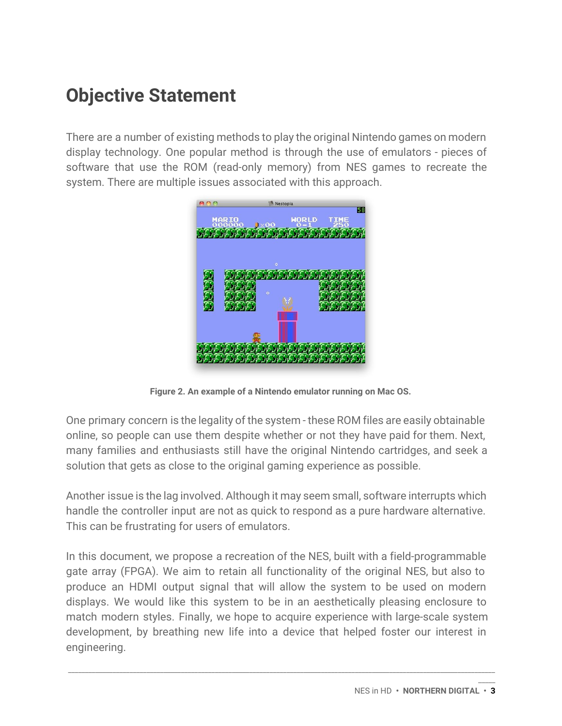## <span id="page-3-0"></span>**Objective Statement**

There are a number of existing methods to play the original Nintendo games on modern display technology. One popular method is through the use of emulators - pieces of software that use the ROM (read-only memory) from NES games to recreate the system. There are multiple issues associated with this approach.



**Figure 2. An example of a Nintendo emulator running on Mac OS.**

One primary concern is the legality of the system - these ROM files are easily obtainable online, so people can use them despite whether or not they have paid for them. Next, many families and enthusiasts still have the original Nintendo cartridges, and seek a solution that gets as close to the original gaming experience as possible.

Another issue is the lag involved. Although it may seem small, software interrupts which handle the controller input are not as quick to respond as a pure hardware alternative. This can be frustrating for users of emulators.

In this document, we propose a recreation of the NES, built with a field-programmable gate array (FPGA). We aim to retain all functionality of the original NES, but also to produce an HDMI output signal that will allow the system to be used on modern displays. We would like this system to be in an aesthetically pleasing enclosure to match modern styles. Finally, we hope to acquire experience with large-scale system development, by breathing new life into a device that helped foster our interest in engineering.

\_\_\_\_\_\_\_\_\_\_\_\_\_\_\_\_\_\_\_\_\_\_\_\_\_\_\_\_\_\_\_\_\_\_\_\_\_\_\_\_\_\_\_\_\_\_\_\_\_\_\_\_\_\_\_\_\_\_\_\_\_\_\_\_\_\_\_\_\_\_\_\_\_\_\_\_\_\_\_\_\_\_\_\_\_\_\_\_\_\_\_\_\_\_\_\_\_\_\_\_\_\_\_\_\_\_\_\_\_\_\_\_\_\_\_\_\_\_\_\_\_\_\_\_\_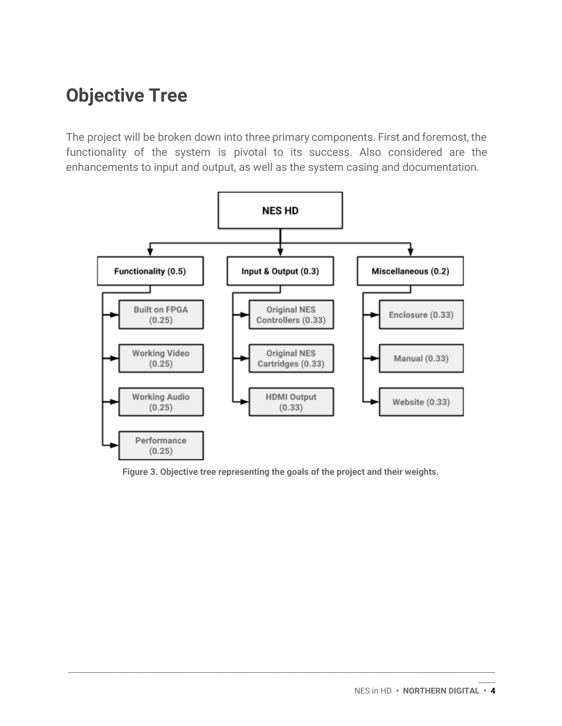## **Objective Tree**

The project will be broken down into three primary components. First and foremost, the functionality of the system is pivotal to its success. Also considered are the enhancements to input and output, as well as the system casing and documentation.



**Figure 3. Objective tree representing the goals of the project and their weights.**

\_\_\_\_\_\_\_\_\_\_\_\_\_\_\_\_\_\_\_\_\_\_\_\_\_\_\_\_\_\_\_\_\_\_\_\_\_\_\_\_\_\_\_\_\_\_\_\_\_\_\_\_\_\_\_\_\_\_\_\_\_\_\_\_\_\_\_\_\_\_\_\_\_\_\_\_\_\_\_\_\_\_\_\_\_\_\_\_\_\_\_\_\_\_\_\_\_\_\_\_\_\_\_\_\_\_\_\_\_\_\_\_\_\_\_\_\_\_\_\_\_\_\_\_\_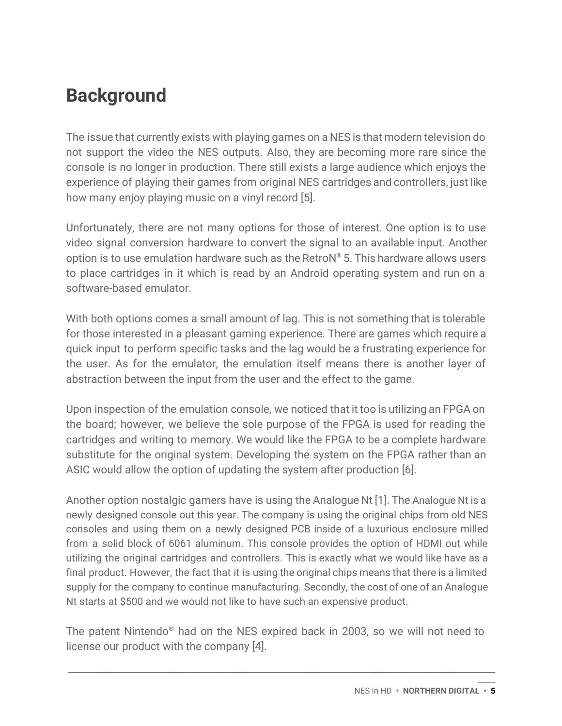## <span id="page-5-0"></span>**Background**

The issue that currently exists with playing games on a NES is that modern television do not support the video the NES outputs. Also, they are becoming more rare since the console is no longer in production. There still exists a large audience which enjoys the experience of playing their games from original NES cartridges and controllers, just like how many enjoy playing music on a vinyl record [5].

Unfortunately, there are not many options for those of interest. One option is to use video signal conversion hardware to convert the signal to an available input. Another option is to use emulation hardware such as the RetroN ® 5. This hardware allows users to place cartridges in it which is read by an Android operating system and run on a software-based emulator.

With both options comes a small amount of lag. This is not something that is tolerable for those interested in a pleasant gaming experience. There are games which require a quick input to perform specific tasks and the lag would be a frustrating experience for the user. As for the emulator, the emulation itself means there is another layer of abstraction between the input from the user and the effect to the game.

Upon inspection of the emulation console, we noticed that it too is utilizing an FPGA on the board; however, we believe the sole purpose of the FPGA is used for reading the cartridges and writing to memory. We would like the FPGA to be a complete hardware substitute for the original system. Developing the system on the FPGA rather than an ASIC would allow the option of updating the system after production [6].

Another option nostalgic gamers have is using the Analogue Nt [1]. The Analogue Nt is a newly designed console out this year. The company is using the original chips from old NES consoles and using them on a newly designed PCB inside of a luxurious enclosure milled from a solid block of 6061 aluminum. This console provides the option of HDMI out while utilizing the original cartridges and controllers. This is exactly what we would like have as a final product. However, the fact that it is using the original chips means that there is a limited supply for the company to continue manufacturing. Secondly, the cost of one of an Analogue Nt starts at \$500 and we would not like to have such an expensive product.

The patent Nintendo ® had on the NES expired back in 2003, so we will not need to license our product with the company [4].

\_\_\_\_\_\_\_\_\_\_\_\_\_\_\_\_\_\_\_\_\_\_\_\_\_\_\_\_\_\_\_\_\_\_\_\_\_\_\_\_\_\_\_\_\_\_\_\_\_\_\_\_\_\_\_\_\_\_\_\_\_\_\_\_\_\_\_\_\_\_\_\_\_\_\_\_\_\_\_\_\_\_\_\_\_\_\_\_\_\_\_\_\_\_\_\_\_\_\_\_\_\_\_\_\_\_\_\_\_\_\_\_\_\_\_\_\_\_\_\_\_\_\_\_\_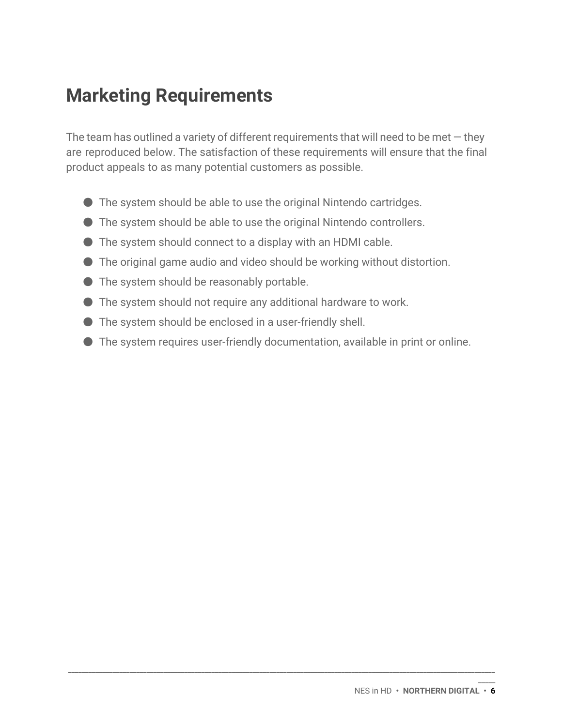## **Marketing Requirements**

The team has outlined a variety of different requirements that will need to be met  $-$  they are reproduced below. The satisfaction of these requirements will ensure that the final product appeals to as many potential customers as possible.

- The system should be able to use the original Nintendo cartridges.
- The system should be able to use the original Nintendo controllers.
- The system should connect to a display with an HDMI cable.
- $\bullet$  The original game audio and video should be working without distortion.
- The system should be reasonably portable.
- The system should not require any additional hardware to work.
- The system should be enclosed in a user-friendly shell.
- The system requires user-friendly documentation, available in print or online.

\_\_\_\_\_\_\_\_\_\_\_\_\_\_\_\_\_\_\_\_\_\_\_\_\_\_\_\_\_\_\_\_\_\_\_\_\_\_\_\_\_\_\_\_\_\_\_\_\_\_\_\_\_\_\_\_\_\_\_\_\_\_\_\_\_\_\_\_\_\_\_\_\_\_\_\_\_\_\_\_\_\_\_\_\_\_\_\_\_\_\_\_\_\_\_\_\_\_\_\_\_\_\_\_\_\_\_\_\_\_\_\_\_\_\_\_\_\_\_\_\_\_\_\_\_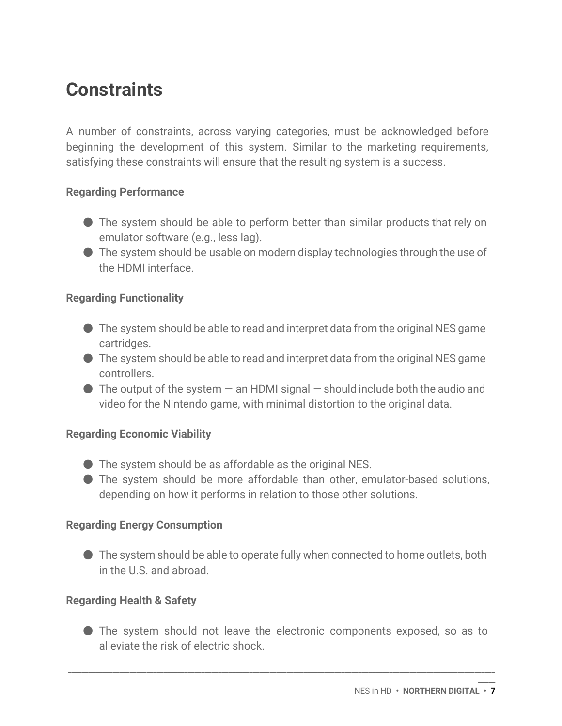## **Constraints**

A number of constraints, across varying categories, must be acknowledged before beginning the development of this system. Similar to the marketing requirements, satisfying these constraints will ensure that the resulting system is a success.

### **Regarding Performance**

- The system should be able to perform better than similar products that rely on emulator software (e.g., less lag).
- $\bullet$  The system should be usable on modern display technologies through the use of the HDMI interface.

### **Regarding Functionality**

- $\bullet$  The system should be able to read and interpret data from the original NES game cartridges.
- $\bullet$  The system should be able to read and interpret data from the original NES game controllers.
- $\bullet$  The output of the system  $-$  an HDMI signal  $-$  should include both the audio and video for the Nintendo game, with minimal distortion to the original data.

### **Regarding Economic Viability**

- The system should be as affordable as the original NES.
- The system should be more affordable than other, emulator-based solutions, depending on how it performs in relation to those other solutions.

## **Regarding Energy Consumption**

● The system should be able to operate fully when connected to home outlets, both in the U.S. and abroad.

### **Regarding Health & Safety**

● The system should not leave the electronic components exposed, so as to alleviate the risk of electric shock.

\_\_\_\_\_\_\_\_\_\_\_\_\_\_\_\_\_\_\_\_\_\_\_\_\_\_\_\_\_\_\_\_\_\_\_\_\_\_\_\_\_\_\_\_\_\_\_\_\_\_\_\_\_\_\_\_\_\_\_\_\_\_\_\_\_\_\_\_\_\_\_\_\_\_\_\_\_\_\_\_\_\_\_\_\_\_\_\_\_\_\_\_\_\_\_\_\_\_\_\_\_\_\_\_\_\_\_\_\_\_\_\_\_\_\_\_\_\_\_\_\_\_\_\_\_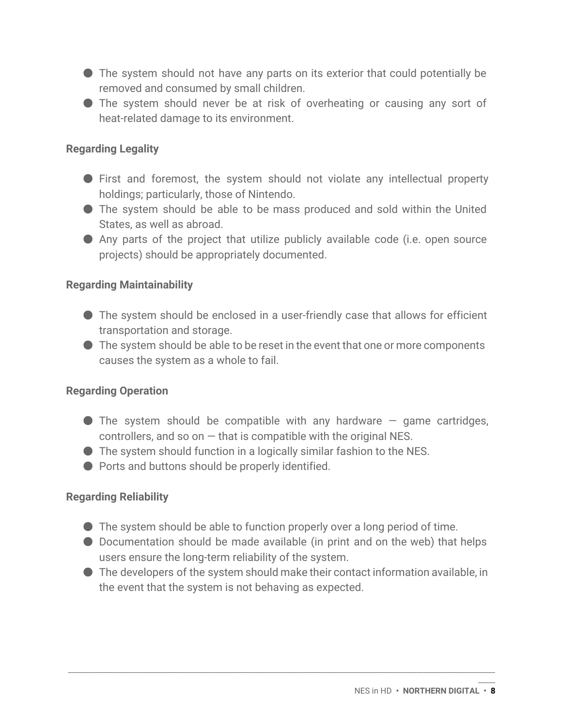- The system should not have any parts on its exterior that could potentially be removed and consumed by small children.
- The system should never be at risk of overheating or causing any sort of heat-related damage to its environment.

### **Regarding Legality**

- First and foremost, the system should not violate any intellectual property holdings; particularly, those of Nintendo.
- The system should be able to be mass produced and sold within the United States, as well as abroad.
- Any parts of the project that utilize publicly available code (i.e. open source projects) should be appropriately documented.

### **Regarding Maintainability**

- The system should be enclosed in a user-friendly case that allows for efficient transportation and storage.
- $\bullet$  The system should be able to be reset in the event that one or more components causes the system as a whole to fail.

### **Regarding Operation**

- $\bullet$  The system should be compatible with any hardware  $-$  game cartridges, controllers, and so on  $-$  that is compatible with the original NES.
- The system should function in a logically similar fashion to the NES.
- Ports and buttons should be properly identified.

### **Regarding Reliability**

- The system should be able to function properly over a long period of time.
- Documentation should be made available (in print and on the web) that helps users ensure the long-term reliability of the system.
- $\bullet$  The developers of the system should make their contact information available, in the event that the system is not behaving as expected.

\_\_\_\_\_\_\_\_\_\_\_\_\_\_\_\_\_\_\_\_\_\_\_\_\_\_\_\_\_\_\_\_\_\_\_\_\_\_\_\_\_\_\_\_\_\_\_\_\_\_\_\_\_\_\_\_\_\_\_\_\_\_\_\_\_\_\_\_\_\_\_\_\_\_\_\_\_\_\_\_\_\_\_\_\_\_\_\_\_\_\_\_\_\_\_\_\_\_\_\_\_\_\_\_\_\_\_\_\_\_\_\_\_\_\_\_\_\_\_\_\_\_\_\_\_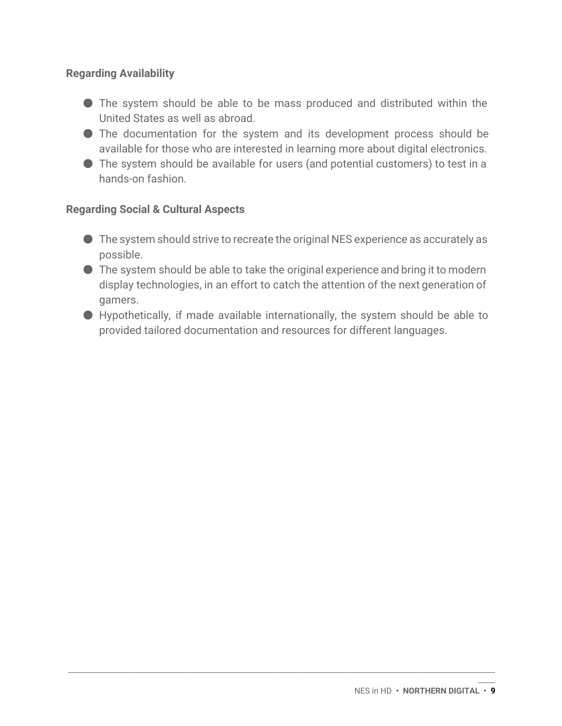### **Regarding Availability**

- The system should be able to be mass produced and distributed within the United States as well as abroad.
- The documentation for the system and its development process should be available for those who are interested in learning more about digital electronics.
- The system should be available for users (and potential customers) to test in a hands-on fashion.

### **Regarding Social & Cultural Aspects**

- The system should strive to recreate the original NES experience as accurately as possible.
- The system should be able to take the original experience and bring it to modern display technologies, in an effort to catch the attention of the next generation of gamers.
- Hypothetically, if made available internationally, the system should be able to provided tailored documentation and resources for different languages.

\_\_\_\_\_\_\_\_\_\_\_\_\_\_\_\_\_\_\_\_\_\_\_\_\_\_\_\_\_\_\_\_\_\_\_\_\_\_\_\_\_\_\_\_\_\_\_\_\_\_\_\_\_\_\_\_\_\_\_\_\_\_\_\_\_\_\_\_\_\_\_\_\_\_\_\_\_\_\_\_\_\_\_\_\_\_\_\_\_\_\_\_\_\_\_\_\_\_\_\_\_\_\_\_\_\_\_\_\_\_\_\_\_\_\_\_\_\_\_\_\_\_\_\_\_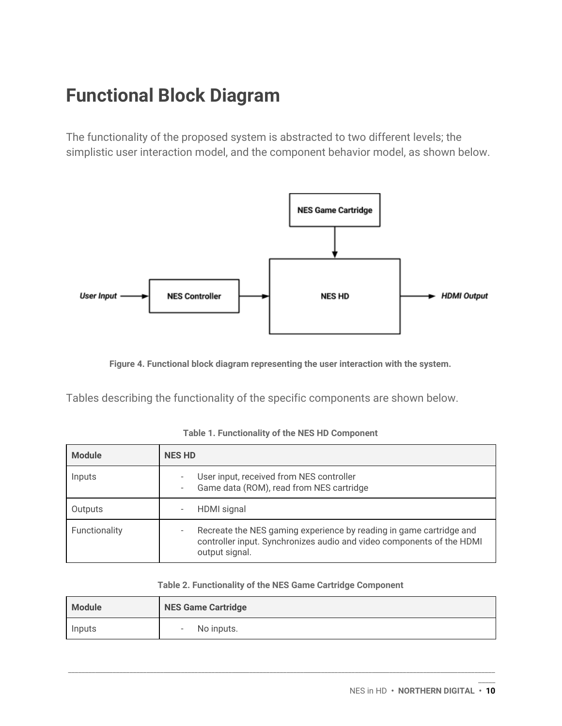## **Functional Block Diagram**

The functionality of the proposed system is abstracted to two different levels; the simplistic user interaction model, and the component behavior model, as shown below.



**Figure 4. Functional block diagram representing the user interaction with the system.**

Tables describing the functionality of the specific components are shown below.

| <b>Module</b> | <b>NES HD</b>                                                                                                                                                  |
|---------------|----------------------------------------------------------------------------------------------------------------------------------------------------------------|
| Inputs        | User input, received from NES controller<br>Game data (ROM), read from NES cartridge<br>۰                                                                      |
| Outputs       | HDMI signal                                                                                                                                                    |
| Functionality | Recreate the NES gaming experience by reading in game cartridge and<br>controller input. Synchronizes audio and video components of the HDMI<br>output signal. |

| Table 2. Functionality of the NES Game Cartridge Component |  |  |  |  |
|------------------------------------------------------------|--|--|--|--|
|------------------------------------------------------------|--|--|--|--|

| <b>Module</b> | <b>NES Game Cartridge</b> |
|---------------|---------------------------|
| Inputs        | No inputs.<br>$\sim$      |

\_\_\_\_\_\_\_\_\_\_\_\_\_\_\_\_\_\_\_\_\_\_\_\_\_\_\_\_\_\_\_\_\_\_\_\_\_\_\_\_\_\_\_\_\_\_\_\_\_\_\_\_\_\_\_\_\_\_\_\_\_\_\_\_\_\_\_\_\_\_\_\_\_\_\_\_\_\_\_\_\_\_\_\_\_\_\_\_\_\_\_\_\_\_\_\_\_\_\_\_\_\_\_\_\_\_\_\_\_\_\_\_\_\_\_\_\_\_\_\_\_\_\_\_\_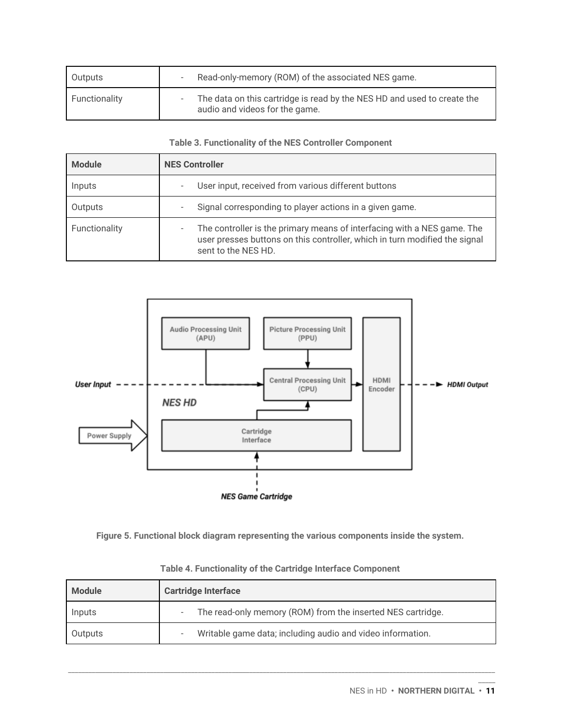| Outputs       | Read-only-memory (ROM) of the associated NES game.                                                        |
|---------------|-----------------------------------------------------------------------------------------------------------|
| Functionality | The data on this cartridge is read by the NES HD and used to create the<br>audio and videos for the game. |

#### **Table 3. Functionality of the NES Controller Component**

| <b>Module</b> | <b>NES Controller</b>                                                                                                                                                             |  |  |
|---------------|-----------------------------------------------------------------------------------------------------------------------------------------------------------------------------------|--|--|
| Inputs        | User input, received from various different buttons<br>۰                                                                                                                          |  |  |
| Outputs       | Signal corresponding to player actions in a given game.<br>۰                                                                                                                      |  |  |
| Functionality | The controller is the primary means of interfacing with a NES game. The<br>-<br>user presses buttons on this controller, which in turn modified the signal<br>sent to the NES HD. |  |  |



**Figure 5. Functional block diagram representing the various components inside the system.**

| <b>Module</b> | <b>Cartridge Interface</b>                                  |
|---------------|-------------------------------------------------------------|
| Inputs        | The read-only memory (ROM) from the inserted NES cartridge. |
| Outputs       | Writable game data; including audio and video information.  |

\_\_\_\_\_\_\_\_\_\_\_\_\_\_\_\_\_\_\_\_\_\_\_\_\_\_\_\_\_\_\_\_\_\_\_\_\_\_\_\_\_\_\_\_\_\_\_\_\_\_\_\_\_\_\_\_\_\_\_\_\_\_\_\_\_\_\_\_\_\_\_\_\_\_\_\_\_\_\_\_\_\_\_\_\_\_\_\_\_\_\_\_\_\_\_\_\_\_\_\_\_\_\_\_\_\_\_\_\_\_\_\_\_\_\_\_\_\_\_\_\_\_\_\_\_

**Table 4. Functionality of the Cartridge Interface Component**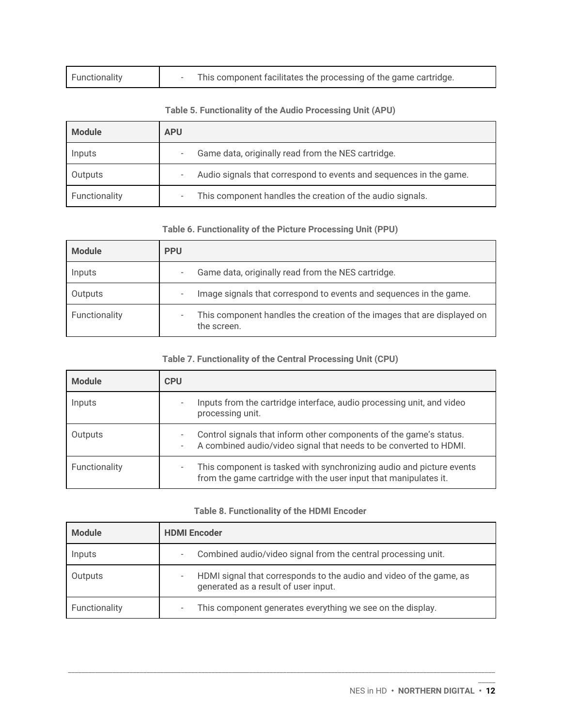| Functionality |  | This component facilitates the processing of the game cartridge. |
|---------------|--|------------------------------------------------------------------|
|---------------|--|------------------------------------------------------------------|

#### **Table 5. Functionality of the Audio Processing Unit (APU)**

| <b>Module</b> | <b>APU</b>                                                         |
|---------------|--------------------------------------------------------------------|
| Inputs        | Game data, originally read from the NES cartridge.                 |
| Outputs       | Audio signals that correspond to events and sequences in the game. |
| Functionality | This component handles the creation of the audio signals.          |

#### **Table 6. Functionality of the Picture Processing Unit (PPU)**

| <b>Module</b> | <b>PPU</b>                                                                             |
|---------------|----------------------------------------------------------------------------------------|
| Inputs        | Game data, originally read from the NES cartridge.<br>-                                |
| Outputs       | Image signals that correspond to events and sequences in the game.<br>۰                |
| Functionality | This component handles the creation of the images that are displayed on<br>the screen. |

#### **Table 7. Functionality of the Central Processing Unit (CPU)**

| <b>Module</b> | <b>CPU</b>                                                                                                                                   |
|---------------|----------------------------------------------------------------------------------------------------------------------------------------------|
| Inputs        | Inputs from the cartridge interface, audio processing unit, and video<br>processing unit.                                                    |
| Outputs       | Control signals that inform other components of the game's status.<br>A combined audio/video signal that needs to be converted to HDMI.<br>- |
| Functionality | This component is tasked with synchronizing audio and picture events<br>from the game cartridge with the user input that manipulates it.     |

#### **Table 8. Functionality of the HDMI Encoder**

| <b>Module</b> | <b>HDMI</b> Encoder                                                                                         |
|---------------|-------------------------------------------------------------------------------------------------------------|
| Inputs        | Combined audio/video signal from the central processing unit.<br>۰                                          |
| Outputs       | HDMI signal that corresponds to the audio and video of the game, as<br>generated as a result of user input. |
| Functionality | This component generates everything we see on the display.<br>۰                                             |

\_\_\_\_\_\_\_\_\_\_\_\_\_\_\_\_\_\_\_\_\_\_\_\_\_\_\_\_\_\_\_\_\_\_\_\_\_\_\_\_\_\_\_\_\_\_\_\_\_\_\_\_\_\_\_\_\_\_\_\_\_\_\_\_\_\_\_\_\_\_\_\_\_\_\_\_\_\_\_\_\_\_\_\_\_\_\_\_\_\_\_\_\_\_\_\_\_\_\_\_\_\_\_\_\_\_\_\_\_\_\_\_\_\_\_\_\_\_\_\_\_\_\_\_\_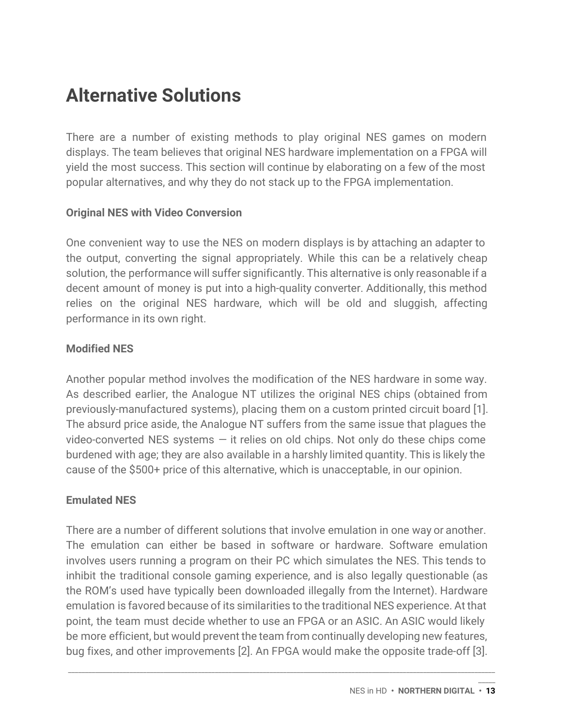## **Alternative Solutions**

There are a number of existing methods to play original NES games on modern displays. The team believes that original NES hardware implementation on a FPGA will yield the most success. This section will continue by elaborating on a few of the most popular alternatives, and why they do not stack up to the FPGA implementation.

### **Original NES with Video Conversion**

One convenient way to use the NES on modern displays is by attaching an adapter to the output, converting the signal appropriately. While this can be a relatively cheap solution, the performance will suffer significantly. This alternative is only reasonable if a decent amount of money is put into a high-quality converter. Additionally, this method relies on the original NES hardware, which will be old and sluggish, affecting performance in its own right.

### **Modified NES**

Another popular method involves the modification of the NES hardware in some way. As described earlier, the Analogue NT utilizes the original NES chips (obtained from previously-manufactured systems), placing them on a custom printed circuit board [1]. The absurd price aside, the Analogue NT suffers from the same issue that plagues the video-converted NES systems  $-$  it relies on old chips. Not only do these chips come burdened with age; they are also available in a harshly limited quantity. This is likely the cause of the \$500+ price of this alternative, which is unacceptable, in our opinion.

## **Emulated NES**

There are a number of different solutions that involve emulation in one way or another. The emulation can either be based in software or hardware. Software emulation involves users running a program on their PC which simulates the NES. This tends to inhibit the traditional console gaming experience, and is also legally questionable (as the ROM's used have typically been downloaded illegally from the Internet). Hardware emulation is favored because of its similarities to the traditional NES experience. At that point, the team must decide whether to use an FPGA or an ASIC. An ASIC would likely be more efficient, but would prevent the team from continually developing new features, bug fixes, and other improvements [2]. An FPGA would make the opposite trade-off [3].

\_\_\_\_\_\_\_\_\_\_\_\_\_\_\_\_\_\_\_\_\_\_\_\_\_\_\_\_\_\_\_\_\_\_\_\_\_\_\_\_\_\_\_\_\_\_\_\_\_\_\_\_\_\_\_\_\_\_\_\_\_\_\_\_\_\_\_\_\_\_\_\_\_\_\_\_\_\_\_\_\_\_\_\_\_\_\_\_\_\_\_\_\_\_\_\_\_\_\_\_\_\_\_\_\_\_\_\_\_\_\_\_\_\_\_\_\_\_\_\_\_\_\_\_\_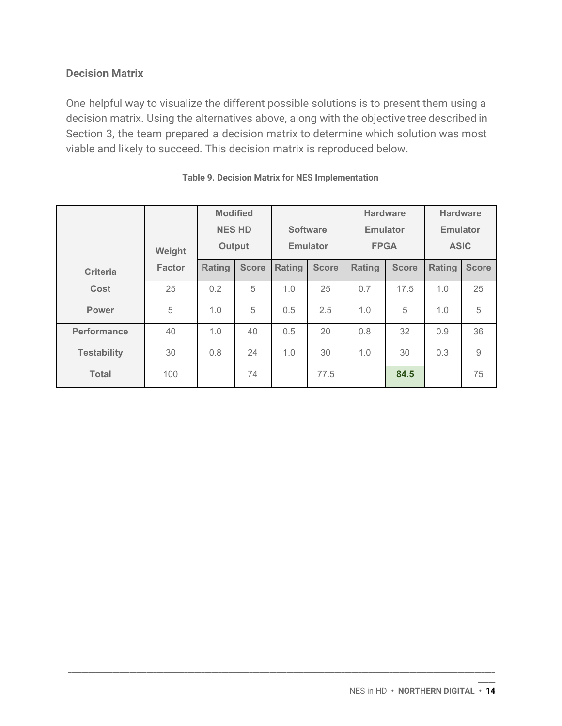### **Decision Matrix**

One helpful way to visualize the different possible solutions is to present them using a decision matrix. Using the alternatives above, along with the objective tree described in Section 3, the team prepared a decision matrix to determine which solution was most viable and likely to succeed. This decision matrix is reproduced below.

|                    | Weight        | <b>Modified</b><br><b>NES HD</b><br>Output |              |        | <b>Software</b><br><b>Emulator</b> | <b>Hardware</b><br><b>Emulator</b><br><b>FPGA</b> |              | <b>Hardware</b><br><b>Emulator</b><br><b>ASIC</b> |                     |  |
|--------------------|---------------|--------------------------------------------|--------------|--------|------------------------------------|---------------------------------------------------|--------------|---------------------------------------------------|---------------------|--|
| Criteria           | <b>Factor</b> | <b>Rating</b>                              | <b>Score</b> | Rating | <b>Score</b>                       | Rating                                            | <b>Score</b> | Rating                                            | <b>Score</b>        |  |
| Cost               | 25            | 0.2                                        | 5            | 1.0    | 25                                 | 0.7                                               | 17.5         | 1.0                                               | 25                  |  |
| <b>Power</b>       | 5             | 1.0                                        | 5            | 0.5    | 2.5                                | 1.0                                               | 5            | 1.0                                               | 5                   |  |
| <b>Performance</b> | 40            | 1.0                                        | 40           | 0.5    | 20                                 | 0.8                                               | 32           | 0.9                                               | 36                  |  |
| <b>Testability</b> | 30            | 0.8                                        | 24           | 1.0    | 30                                 | 1.0                                               | 30           | 0.3                                               | $\mathcal{G}% _{0}$ |  |
| <b>Total</b>       | 100           |                                            | 74           |        | 77.5                               |                                                   | 84.5         |                                                   | 75                  |  |

\_\_\_\_\_\_\_\_\_\_\_\_\_\_\_\_\_\_\_\_\_\_\_\_\_\_\_\_\_\_\_\_\_\_\_\_\_\_\_\_\_\_\_\_\_\_\_\_\_\_\_\_\_\_\_\_\_\_\_\_\_\_\_\_\_\_\_\_\_\_\_\_\_\_\_\_\_\_\_\_\_\_\_\_\_\_\_\_\_\_\_\_\_\_\_\_\_\_\_\_\_\_\_\_\_\_\_\_\_\_\_\_\_\_\_\_\_\_\_\_\_\_\_\_\_

#### **Table 9. Decision Matrix for NES Implementation**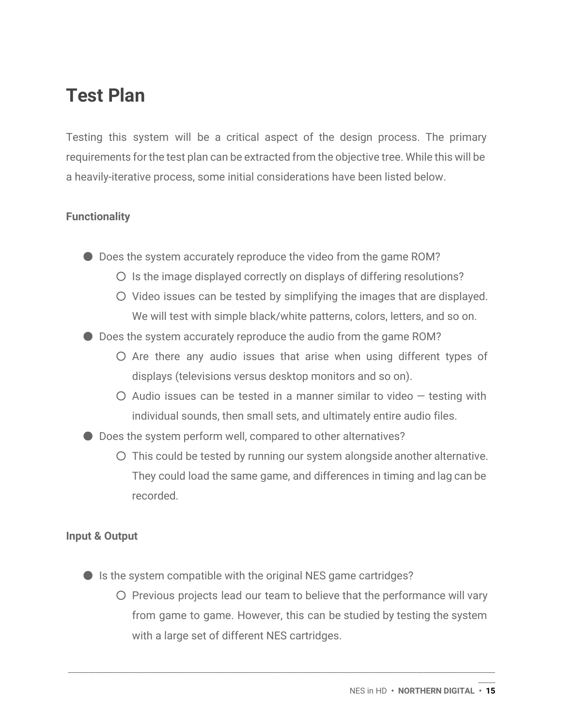## **Test Plan**

Testing this system will be a critical aspect of the design process. The primary requirements for the test plan can be extracted from the objective tree. While this will be a heavily-iterative process, some initial considerations have been listed below.

### **Functionality**

● Does the system accurately reproduce the video from the game ROM?

- Is the image displayed correctly on displays of differing resolutions?
- Video issues can be tested by simplifying the images that are displayed. We will test with simple black/white patterns, colors, letters, and so on.
- Does the system accurately reproduce the audio from the game ROM?
	- Are there any audio issues that arise when using different types of displays (televisions versus desktop monitors and so on).
	- $\circ$  Audio issues can be tested in a manner similar to video  $-$  testing with individual sounds, then small sets, and ultimately entire audio files.
- Does the system perform well, compared to other alternatives?
	- This could be tested by running our system alongside another alternative. They could load the same game, and differences in timing and lag can be recorded.

### **Input & Output**

- $\bullet$  Is the system compatible with the original NES game cartridges?
	- Previous projects lead our team to believe that the performance will vary from game to game. However, this can be studied by testing the system with a large set of different NES cartridges.

\_\_\_\_\_\_\_\_\_\_\_\_\_\_\_\_\_\_\_\_\_\_\_\_\_\_\_\_\_\_\_\_\_\_\_\_\_\_\_\_\_\_\_\_\_\_\_\_\_\_\_\_\_\_\_\_\_\_\_\_\_\_\_\_\_\_\_\_\_\_\_\_\_\_\_\_\_\_\_\_\_\_\_\_\_\_\_\_\_\_\_\_\_\_\_\_\_\_\_\_\_\_\_\_\_\_\_\_\_\_\_\_\_\_\_\_\_\_\_\_\_\_\_\_\_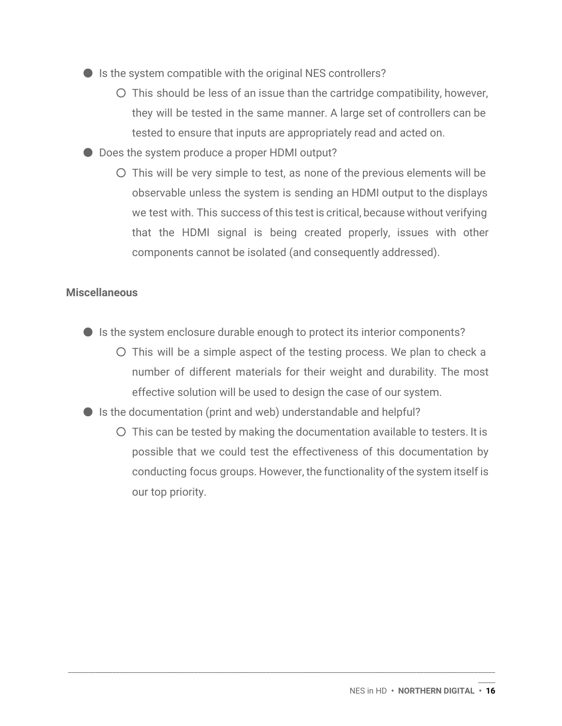- $\bullet$  Is the system compatible with the original NES controllers?
	- This should be less of an issue than the cartridge compatibility, however, they will be tested in the same manner. A large set of controllers can be tested to ensure that inputs are appropriately read and acted on.
- Does the system produce a proper HDMI output?
	- This will be very simple to test, as none of the previous elements will be observable unless the system is sending an HDMI output to the displays we test with. This success of this test is critical, because without verifying that the HDMI signal is being created properly, issues with other components cannot be isolated (and consequently addressed).

### **Miscellaneous**

- Is the system enclosure durable enough to protect its interior components?
	- This will be a simple aspect of the testing process. We plan to check a number of different materials for their weight and durability. The most effective solution will be used to design the case of our system.
- Is the documentation (print and web) understandable and helpful?
	- This can be tested by making the documentation available to testers. It is possible that we could test the effectiveness of this documentation by conducting focus groups. However, the functionality of the system itself is our top priority.

\_\_\_\_\_\_\_\_\_\_\_\_\_\_\_\_\_\_\_\_\_\_\_\_\_\_\_\_\_\_\_\_\_\_\_\_\_\_\_\_\_\_\_\_\_\_\_\_\_\_\_\_\_\_\_\_\_\_\_\_\_\_\_\_\_\_\_\_\_\_\_\_\_\_\_\_\_\_\_\_\_\_\_\_\_\_\_\_\_\_\_\_\_\_\_\_\_\_\_\_\_\_\_\_\_\_\_\_\_\_\_\_\_\_\_\_\_\_\_\_\_\_\_\_\_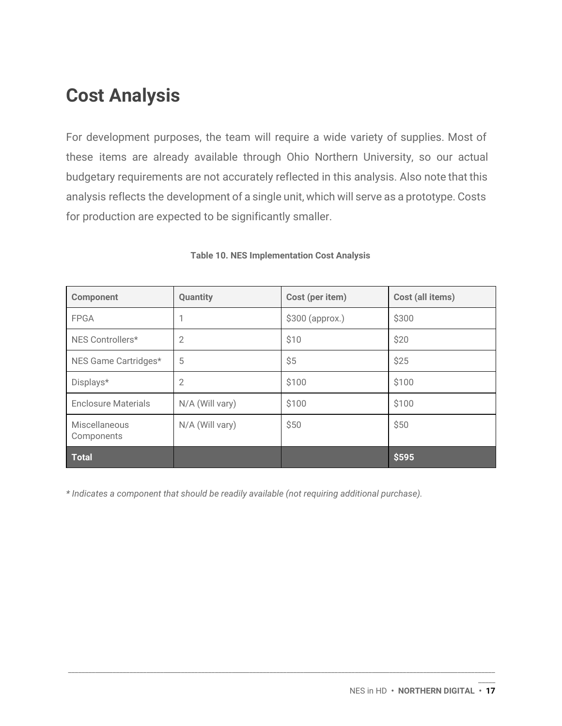## **Cost Analysis**

For development purposes, the team will require a wide variety of supplies. Most of these items are already available through Ohio Northern University, so our actual budgetary requirements are not accurately reflected in this analysis. Also note that this analysis reflects the development of a single unit, which will serve as a prototype. Costs for production are expected to be significantly smaller.

| <b>Component</b>            | <b>Quantity</b> | Cost (per item)  | Cost (all items) |
|-----------------------------|-----------------|------------------|------------------|
| <b>FPGA</b>                 |                 | $$300$ (approx.) | \$300            |
| NES Controllers*            | $\overline{2}$  | \$10             | \$20             |
| NES Game Cartridges*        | 5               | \$5              | \$25             |
| Displays*                   | 2               | \$100            | \$100            |
| <b>Enclosure Materials</b>  | N/A (Will vary) | \$100            | \$100            |
| Miscellaneous<br>Components | N/A (Will vary) | \$50             | \$50             |
| <b>Total</b>                |                 |                  | \$595            |

\_\_\_\_\_\_\_\_\_\_\_\_\_\_\_\_\_\_\_\_\_\_\_\_\_\_\_\_\_\_\_\_\_\_\_\_\_\_\_\_\_\_\_\_\_\_\_\_\_\_\_\_\_\_\_\_\_\_\_\_\_\_\_\_\_\_\_\_\_\_\_\_\_\_\_\_\_\_\_\_\_\_\_\_\_\_\_\_\_\_\_\_\_\_\_\_\_\_\_\_\_\_\_\_\_\_\_\_\_\_\_\_\_\_\_\_\_\_\_\_\_\_\_\_\_

#### **Table 10. NES Implementation Cost Analysis**

*\* Indicates a component that should be readily available (not requiring additional purchase).*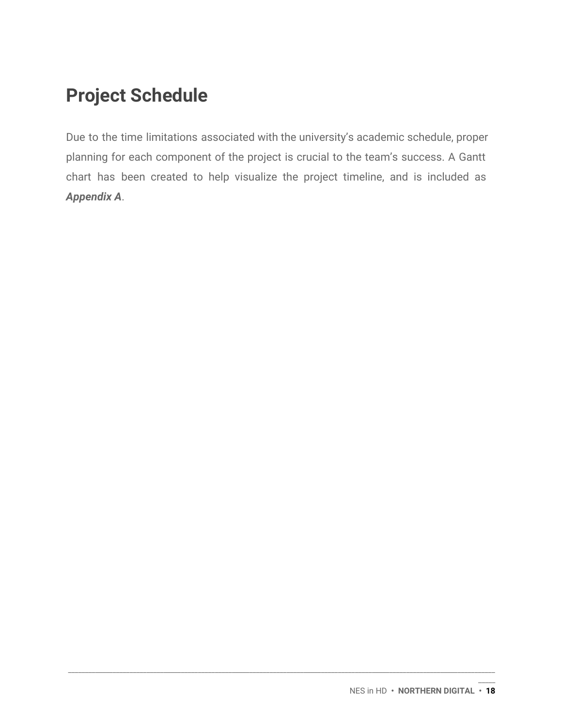## **Project Schedule**

Due to the time limitations associated with the university's academic schedule, proper planning for each component of the project is crucial to the team's success. A Gantt chart has been created to help visualize the project timeline, and is included as *Appendix A*.

\_\_\_\_\_\_\_\_\_\_\_\_\_\_\_\_\_\_\_\_\_\_\_\_\_\_\_\_\_\_\_\_\_\_\_\_\_\_\_\_\_\_\_\_\_\_\_\_\_\_\_\_\_\_\_\_\_\_\_\_\_\_\_\_\_\_\_\_\_\_\_\_\_\_\_\_\_\_\_\_\_\_\_\_\_\_\_\_\_\_\_\_\_\_\_\_\_\_\_\_\_\_\_\_\_\_\_\_\_\_\_\_\_\_\_\_\_\_\_\_\_\_\_\_\_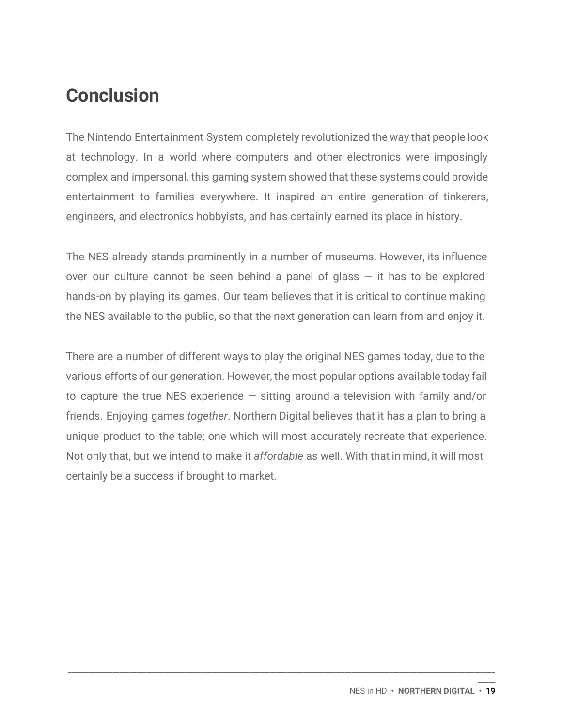## **Conclusion**

The Nintendo Entertainment System completely revolutionized the way that people look at technology. In a world where computers and other electronics were imposingly complex and impersonal, this gaming system showed that these systems could provide entertainment to families everywhere. It inspired an entire generation of tinkerers, engineers, and electronics hobbyists, and has certainly earned its place in history.

The NES already stands prominently in a number of museums. However, its influence over our culture cannot be seen behind a panel of glass  $-$  it has to be explored hands-on by playing its games. Our team believes that it is critical to continue making the NES available to the public, so that the next generation can learn from and enjoy it.

There are a number of different ways to play the original NES games today, due to the various efforts of our generation. However, the most popular options available today fail to capture the true NES experience  $-$  sitting around a television with family and/or friends. Enjoying games *together*. Northern Digital believes that it has a plan to bring a unique product to the table; one which will most accurately recreate that experience. Not only that, but we intend to make it *affordable* as well. With that in mind, it will most certainly be a success if brought to market.

\_\_\_\_\_\_\_\_\_\_\_\_\_\_\_\_\_\_\_\_\_\_\_\_\_\_\_\_\_\_\_\_\_\_\_\_\_\_\_\_\_\_\_\_\_\_\_\_\_\_\_\_\_\_\_\_\_\_\_\_\_\_\_\_\_\_\_\_\_\_\_\_\_\_\_\_\_\_\_\_\_\_\_\_\_\_\_\_\_\_\_\_\_\_\_\_\_\_\_\_\_\_\_\_\_\_\_\_\_\_\_\_\_\_\_\_\_\_\_\_\_\_\_\_\_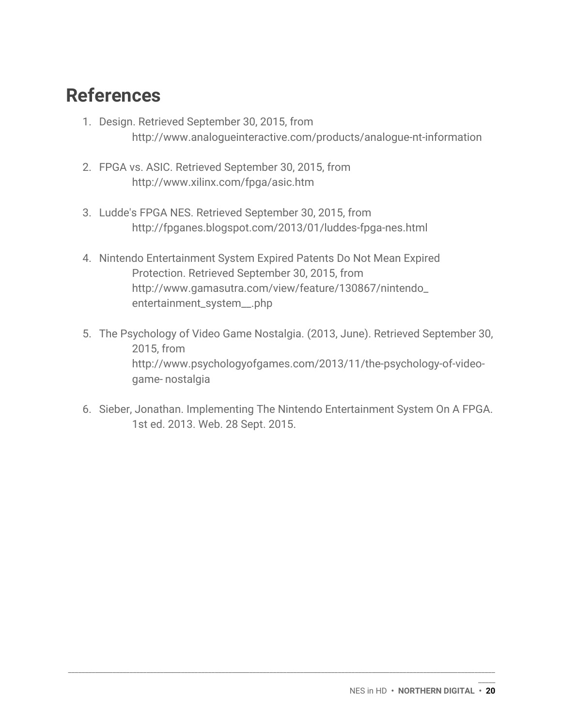## **References**

- 1. Design. Retrieved September 30, 2015, from http://www.analogueinteractive.com/products/analogue-nt-information
- 2. FPGA vs. ASIC. Retrieved September 30, 2015, from http://www.xilinx.com/fpga/asic.htm
- 3. Ludde's FPGA NES. Retrieved September 30, 2015, from <http://fpganes.blogspot.com/2013/01/luddes-fpga-nes.html>
- 4. Nintendo Entertainment System Expired Patents Do Not Mean Expired Protection. Retrieved September 30, 2015, from http://www.gamasutra.com/view/feature/130867/nintendo\_ entertainment\_system\_\_.php
- 5. The Psychology of Video Game Nostalgia. (2013, June). Retrieved September 30, 2015, from http://www.psychologyofgames.com/2013/11/the-psychology-of-videogame- nostalgia
- 6. Sieber, Jonathan. Implementing The Nintendo Entertainment System On A FPGA. 1st ed. 2013. Web. 28 Sept. 2015.

\_\_\_\_\_\_\_\_\_\_\_\_\_\_\_\_\_\_\_\_\_\_\_\_\_\_\_\_\_\_\_\_\_\_\_\_\_\_\_\_\_\_\_\_\_\_\_\_\_\_\_\_\_\_\_\_\_\_\_\_\_\_\_\_\_\_\_\_\_\_\_\_\_\_\_\_\_\_\_\_\_\_\_\_\_\_\_\_\_\_\_\_\_\_\_\_\_\_\_\_\_\_\_\_\_\_\_\_\_\_\_\_\_\_\_\_\_\_\_\_\_\_\_\_\_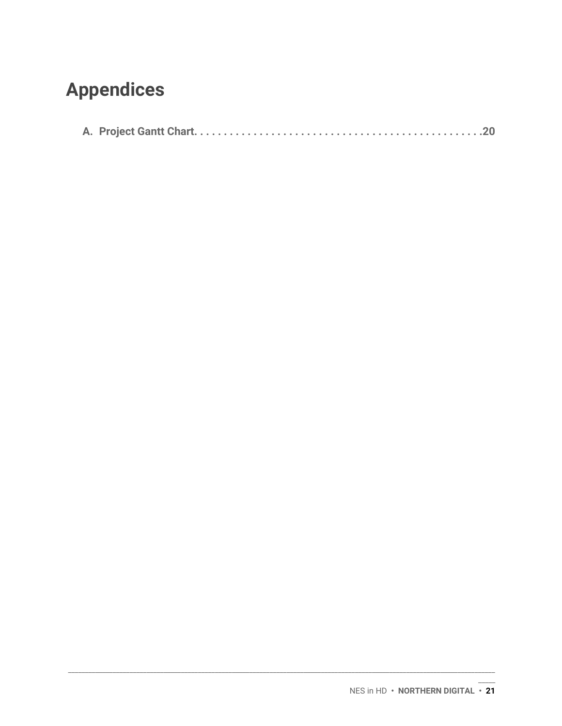## **Appendices**